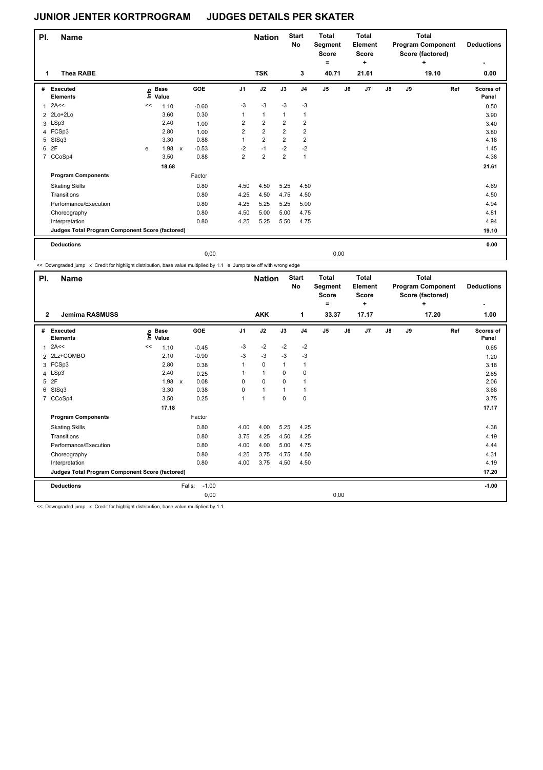| PI. | <b>Name</b>                                     |    |                            |                           |         |                         | <b>Nation</b>  |                         | <b>Start</b><br>No      | <b>Total</b><br>Segment<br><b>Score</b><br>۰ |    | <b>Total</b><br><b>Element</b><br><b>Score</b><br>÷ |    |    | Total<br><b>Program Component</b><br>Score (factored)<br>٠ | <b>Deductions</b>  |
|-----|-------------------------------------------------|----|----------------------------|---------------------------|---------|-------------------------|----------------|-------------------------|-------------------------|----------------------------------------------|----|-----------------------------------------------------|----|----|------------------------------------------------------------|--------------------|
| 1   | <b>Thea RABE</b>                                |    |                            |                           |         |                         | <b>TSK</b>     |                         | 3                       | 40.71                                        |    | 21.61                                               |    |    | 19.10                                                      | 0.00               |
| #   | Executed<br><b>Elements</b>                     |    | e Base<br>E Value<br>Value |                           | GOE     | J <sub>1</sub>          | J2             | J3                      | J <sub>4</sub>          | J5                                           | J6 | J7                                                  | J8 | J9 | Ref                                                        | Scores of<br>Panel |
|     | 2A<<                                            | << | 1.10                       |                           | $-0.60$ | $-3$                    | $-3$           | $-3$                    | $-3$                    |                                              |    |                                                     |    |    |                                                            | 0.50               |
|     | 2 2Lo+2Lo                                       |    | 3.60                       |                           | 0.30    | $\mathbf{1}$            | 1              | $\mathbf{1}$            | $\mathbf{1}$            |                                              |    |                                                     |    |    |                                                            | 3.90               |
|     | 3 LSp3                                          |    | 2.40                       |                           | 1.00    | $\overline{2}$          | $\overline{2}$ | $\overline{2}$          | $\overline{2}$          |                                              |    |                                                     |    |    |                                                            | 3.40               |
|     | 4 FCSp3                                         |    | 2.80                       |                           | 1.00    | $\overline{\mathbf{c}}$ | $\overline{2}$ | $\overline{\mathbf{c}}$ | $\overline{\mathbf{c}}$ |                                              |    |                                                     |    |    |                                                            | 3.80               |
| 5   | StSq3                                           |    | 3.30                       |                           | 0.88    | 1                       | $\overline{2}$ | $\overline{2}$          | $\overline{2}$          |                                              |    |                                                     |    |    |                                                            | 4.18               |
|     | 6 2F                                            | e  | 1.98                       | $\boldsymbol{\mathsf{x}}$ | $-0.53$ | $-2$                    | $-1$           | $-2$                    | $-2$                    |                                              |    |                                                     |    |    |                                                            | 1.45               |
|     | 7 CCoSp4                                        |    | 3.50                       |                           | 0.88    | $\overline{\mathbf{c}}$ | $\overline{2}$ | $\overline{2}$          | $\overline{1}$          |                                              |    |                                                     |    |    |                                                            | 4.38               |
|     |                                                 |    | 18.68                      |                           |         |                         |                |                         |                         |                                              |    |                                                     |    |    |                                                            | 21.61              |
|     | <b>Program Components</b>                       |    |                            |                           | Factor  |                         |                |                         |                         |                                              |    |                                                     |    |    |                                                            |                    |
|     | <b>Skating Skills</b>                           |    |                            |                           | 0.80    | 4.50                    | 4.50           | 5.25                    | 4.50                    |                                              |    |                                                     |    |    |                                                            | 4.69               |
|     | Transitions                                     |    |                            |                           | 0.80    | 4.25                    | 4.50           | 4.75                    | 4.50                    |                                              |    |                                                     |    |    |                                                            | 4.50               |
|     | Performance/Execution                           |    |                            |                           | 0.80    | 4.25                    | 5.25           | 5.25                    | 5.00                    |                                              |    |                                                     |    |    |                                                            | 4.94               |
|     | Choreography                                    |    |                            |                           | 0.80    | 4.50                    | 5.00           | 5.00                    | 4.75                    |                                              |    |                                                     |    |    |                                                            | 4.81               |
|     | Interpretation                                  |    |                            |                           | 0.80    | 4.25                    | 5.25           | 5.50                    | 4.75                    |                                              |    |                                                     |    |    |                                                            | 4.94               |
|     | Judges Total Program Component Score (factored) |    |                            |                           |         |                         |                |                         |                         |                                              |    |                                                     |    |    |                                                            | 19.10              |
|     | <b>Deductions</b>                               |    |                            |                           |         |                         |                |                         |                         |                                              |    |                                                     |    |    |                                                            | 0.00               |
|     |                                                 |    |                            |                           | 0,00    |                         |                |                         |                         | 0,00                                         |    |                                                     |    |    |                                                            |                    |

<< Downgraded jump x Credit for highlight distribution, base value multiplied by 1.1 e Jump take off with wrong edge

T

| PI.            | <b>Name</b>                                     |                            |                           |            |                | <b>Nation</b> |              | Start<br>No    | <b>Total</b><br>Segment<br><b>Score</b><br>٠ |    | <b>Total</b><br>Element<br>Score<br>÷ |               |    | <b>Total</b><br><b>Program Component</b><br>Score (factored)<br>÷ | <b>Deductions</b>  |
|----------------|-------------------------------------------------|----------------------------|---------------------------|------------|----------------|---------------|--------------|----------------|----------------------------------------------|----|---------------------------------------|---------------|----|-------------------------------------------------------------------|--------------------|
| $\mathbf{2}$   | <b>Jemima RASMUSS</b>                           |                            |                           |            |                | <b>AKK</b>    |              | 1              | 33.37                                        |    | 17.17                                 |               |    | 17.20                                                             | 1.00               |
| #              | Executed<br><b>Elements</b>                     | <b>Base</b><br>۴۵<br>Value |                           | <b>GOE</b> | J <sub>1</sub> | J2            | J3           | J <sub>4</sub> | J5                                           | J6 | J7                                    | $\mathsf{J}8$ | J9 | Ref                                                               | Scores of<br>Panel |
| $\mathbf{1}$   | 2A<<                                            | 1.10<br><<                 |                           | $-0.45$    | $-3$           | $-2$          | $-2$         | $-2$           |                                              |    |                                       |               |    |                                                                   | 0.65               |
|                | 2 2Lz+COMBO                                     | 2.10                       |                           | $-0.90$    | $-3$           | $-3$          | $-3$         | $-3$           |                                              |    |                                       |               |    |                                                                   | 1.20               |
| 3              | FCSp3                                           | 2.80                       |                           | 0.38       | $\mathbf{1}$   | $\mathbf 0$   | $\mathbf{1}$ | 1              |                                              |    |                                       |               |    |                                                                   | 3.18               |
|                | 4 LSp3                                          | 2.40                       |                           | 0.25       | 1              | $\mathbf{1}$  | $\Omega$     | $\mathbf 0$    |                                              |    |                                       |               |    |                                                                   | 2.65               |
| 5              | 2F                                              | 1.98                       | $\boldsymbol{\mathsf{x}}$ | 0.08       | 0              | $\mathbf 0$   | $\mathbf 0$  | 1              |                                              |    |                                       |               |    |                                                                   | 2.06               |
| 6              | StSq3                                           | 3.30                       |                           | 0.38       | 0              | $\mathbf{1}$  | 1            | 1              |                                              |    |                                       |               |    |                                                                   | 3.68               |
| $\overline{7}$ | CCoSp4                                          | 3.50                       |                           | 0.25       | 1              | 1             | 0            | 0              |                                              |    |                                       |               |    |                                                                   | 3.75               |
|                |                                                 | 17.18                      |                           |            |                |               |              |                |                                              |    |                                       |               |    |                                                                   | 17.17              |
|                | <b>Program Components</b>                       |                            |                           | Factor     |                |               |              |                |                                              |    |                                       |               |    |                                                                   |                    |
|                | <b>Skating Skills</b>                           |                            |                           | 0.80       | 4.00           | 4.00          | 5.25         | 4.25           |                                              |    |                                       |               |    |                                                                   | 4.38               |
|                | Transitions                                     |                            |                           | 0.80       | 3.75           | 4.25          | 4.50         | 4.25           |                                              |    |                                       |               |    |                                                                   | 4.19               |
|                | Performance/Execution                           |                            |                           | 0.80       | 4.00           | 4.00          | 5.00         | 4.75           |                                              |    |                                       |               |    |                                                                   | 4.44               |
|                | Choreography                                    |                            |                           | 0.80       | 4.25           | 3.75          | 4.75         | 4.50           |                                              |    |                                       |               |    |                                                                   | 4.31               |
|                | Interpretation                                  |                            |                           | 0.80       | 4.00           | 3.75          | 4.50         | 4.50           |                                              |    |                                       |               |    |                                                                   | 4.19               |
|                | Judges Total Program Component Score (factored) |                            |                           |            |                |               |              |                |                                              |    |                                       |               |    |                                                                   | 17.20              |
|                | <b>Deductions</b>                               |                            | Falls:                    | $-1.00$    |                |               |              |                |                                              |    |                                       |               |    |                                                                   | $-1.00$            |
|                |                                                 |                            |                           | 0,00       |                |               |              |                | 0,00                                         |    |                                       |               |    |                                                                   |                    |

<< Downgraded jump x Credit for highlight distribution, base value multiplied by 1.1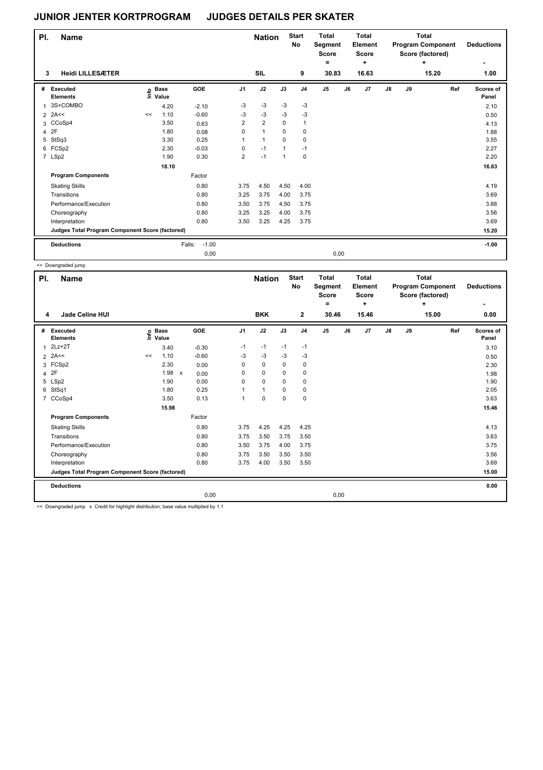| PI. | <b>Name</b>                                     |    |                   |                   |                | <b>Nation</b>  |              | <b>Start</b><br><b>No</b> | Total<br>Segment<br><b>Score</b><br>۰ |      | Total<br>Element<br><b>Score</b><br>٠ |               |    | <b>Total</b><br><b>Program Component</b><br>Score (factored)<br>٠ | <b>Deductions</b>         |
|-----|-------------------------------------------------|----|-------------------|-------------------|----------------|----------------|--------------|---------------------------|---------------------------------------|------|---------------------------------------|---------------|----|-------------------------------------------------------------------|---------------------------|
| 3   | <b>Heidi LILLESÆTER</b>                         |    |                   |                   |                | SIL            |              | 9                         | 30.83                                 |      | 16.63                                 |               |    | 15.20                                                             | 1.00                      |
| #   | Executed<br><b>Elements</b>                     |    | e Base<br>E Value | GOE               | J <sub>1</sub> | J2             | J3           | J <sub>4</sub>            | J5                                    | J6   | J7                                    | $\mathsf{J}8$ | J9 | Ref                                                               | <b>Scores of</b><br>Panel |
| 1   | 3S+COMBO                                        |    | 4.20              | $-2.10$           | -3             | $-3$           | $-3$         | $-3$                      |                                       |      |                                       |               |    |                                                                   | 2.10                      |
|     | $2$ 2A<<                                        | << | 1.10              | $-0.60$           | $-3$           | $-3$           | $-3$         | $-3$                      |                                       |      |                                       |               |    |                                                                   | 0.50                      |
|     | 3 CCoSp4                                        |    | 3.50              | 0.63              | $\overline{2}$ | $\overline{2}$ | $\Omega$     | 1                         |                                       |      |                                       |               |    |                                                                   | 4.13                      |
| 4   | 2F                                              |    | 1.80              | 0.08              | 0              | $\mathbf{1}$   | 0            | 0                         |                                       |      |                                       |               |    |                                                                   | 1.88                      |
| 5   | StSq3                                           |    | 3.30              | 0.25              |                | $\mathbf{1}$   | 0            | 0                         |                                       |      |                                       |               |    |                                                                   | 3.55                      |
|     | 6 FCSp2                                         |    | 2.30              | $-0.03$           | 0              | $-1$           | $\mathbf{1}$ | $-1$                      |                                       |      |                                       |               |    |                                                                   | 2.27                      |
|     | 7 LSp2                                          |    | 1.90              | 0.30              | $\overline{2}$ | $-1$           | $\mathbf{1}$ | $\mathbf 0$               |                                       |      |                                       |               |    |                                                                   | 2.20                      |
|     |                                                 |    | 18.10             |                   |                |                |              |                           |                                       |      |                                       |               |    |                                                                   | 16.63                     |
|     | <b>Program Components</b>                       |    |                   | Factor            |                |                |              |                           |                                       |      |                                       |               |    |                                                                   |                           |
|     | <b>Skating Skills</b>                           |    |                   | 0.80              | 3.75           | 4.50           | 4.50         | 4.00                      |                                       |      |                                       |               |    |                                                                   | 4.19                      |
|     | Transitions                                     |    |                   | 0.80              | 3.25           | 3.75           | 4.00         | 3.75                      |                                       |      |                                       |               |    |                                                                   | 3.69                      |
|     | Performance/Execution                           |    |                   | 0.80              | 3.50           | 3.75           | 4.50         | 3.75                      |                                       |      |                                       |               |    |                                                                   | 3.88                      |
|     | Choreography                                    |    |                   | 0.80              | 3.25           | 3.25           | 4.00         | 3.75                      |                                       |      |                                       |               |    |                                                                   | 3.56                      |
|     | Interpretation                                  |    |                   | 0.80              | 3.50           | 3.25           | 4.25         | 3.75                      |                                       |      |                                       |               |    |                                                                   | 3.69                      |
|     | Judges Total Program Component Score (factored) |    |                   |                   |                |                |              |                           |                                       |      |                                       |               |    |                                                                   | 15.20                     |
|     | <b>Deductions</b>                               |    |                   | $-1.00$<br>Falls: |                |                |              |                           |                                       |      |                                       |               |    |                                                                   | $-1.00$                   |
|     |                                                 |    |                   | 0,00              |                |                |              |                           |                                       | 0,00 |                                       |               |    |                                                                   |                           |

<< Downgraded jump

| PI.<br>Name    |                                                 |       |                      |                           |         |                | <b>Nation</b> |             |                | <b>Total</b><br>Segment<br><b>Score</b><br>$=$ |      | Total<br>Element<br><b>Score</b><br>٠ |               |    | Total<br><b>Program Component</b><br>Score (factored)<br>٠ | <b>Deductions</b>  |
|----------------|-------------------------------------------------|-------|----------------------|---------------------------|---------|----------------|---------------|-------------|----------------|------------------------------------------------|------|---------------------------------------|---------------|----|------------------------------------------------------------|--------------------|
| 4              | Jade Celine HUI                                 |       |                      |                           |         |                | <b>BKK</b>    |             | $\mathbf{2}$   | 30.46                                          |      | 15.46                                 |               |    | 15.00                                                      | 0.00               |
| #              | Executed<br><b>Elements</b>                     | e     | <b>Base</b><br>Value |                           | GOE     | J <sub>1</sub> | J2            | J3          | J <sub>4</sub> | J5                                             | J6   | J7                                    | $\mathsf{J}8$ | J9 | Ref                                                        | Scores of<br>Panel |
| $\mathbf{1}$   | $2Lz+2T$                                        |       | 3.40                 |                           | $-0.30$ | $-1$           | $-1$          | $-1$        | $-1$           |                                                |      |                                       |               |    |                                                            | 3.10               |
| $\overline{2}$ | 2A<<                                            | $\,<$ | 1.10                 |                           | $-0.60$ | $-3$           | $-3$          | $-3$        | $-3$           |                                                |      |                                       |               |    |                                                            | 0.50               |
|                | 3 FCSp2                                         |       | 2.30                 |                           | 0.00    | 0              | $\mathbf 0$   | 0           | 0              |                                                |      |                                       |               |    |                                                            | 2.30               |
| 4              | 2F                                              |       | 1.98                 | $\boldsymbol{\mathsf{x}}$ | 0.00    | 0              | 0             | $\Omega$    | 0              |                                                |      |                                       |               |    |                                                            | 1.98               |
| 5              | LSp2                                            |       | 1.90                 |                           | 0.00    | 0              | $\mathbf 0$   | $\mathbf 0$ | $\mathbf 0$    |                                                |      |                                       |               |    |                                                            | 1.90               |
| 6              | StSq1                                           |       | 1.80                 |                           | 0.25    |                | $\mathbf{1}$  | $\mathbf 0$ | $\mathbf 0$    |                                                |      |                                       |               |    |                                                            | 2.05               |
| $\overline{7}$ | CCoSp4                                          |       | 3.50                 |                           | 0.13    | 1              | 0             | 0           | 0              |                                                |      |                                       |               |    |                                                            | 3.63               |
|                |                                                 |       | 15.98                |                           |         |                |               |             |                |                                                |      |                                       |               |    |                                                            | 15.46              |
|                | <b>Program Components</b>                       |       |                      |                           | Factor  |                |               |             |                |                                                |      |                                       |               |    |                                                            |                    |
|                | <b>Skating Skills</b>                           |       |                      |                           | 0.80    | 3.75           | 4.25          | 4.25        | 4.25           |                                                |      |                                       |               |    |                                                            | 4.13               |
|                | Transitions                                     |       |                      |                           | 0.80    | 3.75           | 3.50          | 3.75        | 3.50           |                                                |      |                                       |               |    |                                                            | 3.63               |
|                | Performance/Execution                           |       |                      |                           | 0.80    | 3.50           | 3.75          | 4.00        | 3.75           |                                                |      |                                       |               |    |                                                            | 3.75               |
|                | Choreography                                    |       |                      |                           | 0.80    | 3.75           | 3.50          | 3.50        | 3.50           |                                                |      |                                       |               |    |                                                            | 3.56               |
|                | Interpretation                                  |       |                      |                           | 0.80    | 3.75           | 4.00          | 3.50        | 3.50           |                                                |      |                                       |               |    |                                                            | 3.69               |
|                | Judges Total Program Component Score (factored) |       |                      |                           |         |                |               |             |                |                                                |      |                                       |               |    |                                                            | 15.00              |
|                | <b>Deductions</b>                               |       |                      |                           |         |                |               |             |                |                                                |      |                                       |               |    |                                                            | 0.00               |
|                |                                                 |       |                      |                           | 0,00    |                |               |             |                |                                                | 0,00 |                                       |               |    |                                                            |                    |

<< Downgraded jump x Credit for highlight distribution, base value multiplied by 1.1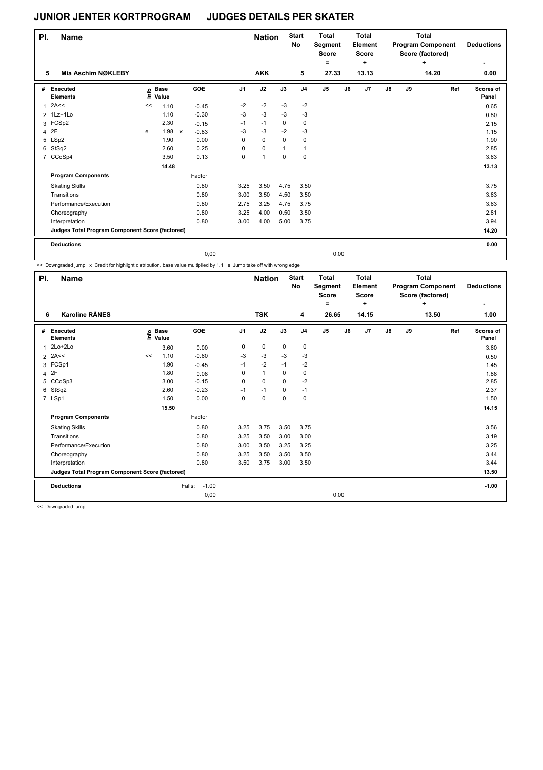| PI. | <b>Name</b>                                     |    |                            |              |         |             | <b>Nation</b> |              | <b>Start</b><br>No | <b>Total</b><br>Segment<br><b>Score</b><br>$=$ |               | <b>Total</b><br><b>Element</b><br><b>Score</b><br>$\ddot{}$ |  |    |    | Total<br><b>Program Component</b><br>Score (factored) | <b>Deductions</b>         |
|-----|-------------------------------------------------|----|----------------------------|--------------|---------|-------------|---------------|--------------|--------------------|------------------------------------------------|---------------|-------------------------------------------------------------|--|----|----|-------------------------------------------------------|---------------------------|
| 5   | <b>Mia Aschim NØKLEBY</b>                       |    |                            |              |         |             | <b>AKK</b>    |              | 5                  | 27.33                                          |               | 13.13                                                       |  |    |    | 14.20                                                 | 0.00                      |
| #   | Executed<br><b>Elements</b>                     |    | e Base<br>E Value<br>Value |              | GOE     | J1          | J2            | J3           | J <sub>4</sub>     | J5                                             | $\mathsf{J6}$ | J7                                                          |  | J8 | J9 | Ref                                                   | <b>Scores of</b><br>Panel |
| 1   | 2A<<                                            | << | 1.10                       |              | $-0.45$ | $-2$        | $-2$          | $-3$         | $-2$               |                                                |               |                                                             |  |    |    |                                                       | 0.65                      |
|     | 2 1Lz+1Lo                                       |    | 1.10                       |              | $-0.30$ | $-3$        | $-3$          | $-3$         | $-3$               |                                                |               |                                                             |  |    |    |                                                       | 0.80                      |
|     | 3 FCSp2                                         |    | 2.30                       |              | $-0.15$ | $-1$        | $-1$          | 0            | 0                  |                                                |               |                                                             |  |    |    |                                                       | 2.15                      |
| 4   | 2F                                              | e  | 1.98                       | $\mathsf{x}$ | $-0.83$ | $-3$        | $-3$          | $-2$         | $-3$               |                                                |               |                                                             |  |    |    |                                                       | 1.15                      |
|     | 5 LSp2                                          |    | 1.90                       |              | 0.00    | 0           | $\mathbf 0$   | $\mathbf 0$  | 0                  |                                                |               |                                                             |  |    |    |                                                       | 1.90                      |
|     | 6 StSq2                                         |    | 2.60                       |              | 0.25    | $\Omega$    | $\mathbf 0$   | $\mathbf{1}$ | 1                  |                                                |               |                                                             |  |    |    |                                                       | 2.85                      |
|     | 7 CCoSp4                                        |    | 3.50                       |              | 0.13    | $\mathbf 0$ | $\mathbf{1}$  | $\mathbf 0$  | 0                  |                                                |               |                                                             |  |    |    |                                                       | 3.63                      |
|     |                                                 |    | 14.48                      |              |         |             |               |              |                    |                                                |               |                                                             |  |    |    |                                                       | 13.13                     |
|     | <b>Program Components</b>                       |    |                            |              | Factor  |             |               |              |                    |                                                |               |                                                             |  |    |    |                                                       |                           |
|     | <b>Skating Skills</b>                           |    |                            |              | 0.80    | 3.25        | 3.50          | 4.75         | 3.50               |                                                |               |                                                             |  |    |    |                                                       | 3.75                      |
|     | Transitions                                     |    |                            |              | 0.80    | 3.00        | 3.50          | 4.50         | 3.50               |                                                |               |                                                             |  |    |    |                                                       | 3.63                      |
|     | Performance/Execution                           |    |                            |              | 0.80    | 2.75        | 3.25          | 4.75         | 3.75               |                                                |               |                                                             |  |    |    |                                                       | 3.63                      |
|     | Choreography                                    |    |                            |              | 0.80    | 3.25        | 4.00          | 0.50         | 3.50               |                                                |               |                                                             |  |    |    |                                                       | 2.81                      |
|     | Interpretation                                  |    |                            |              | 0.80    | 3.00        | 4.00          | 5.00         | 3.75               |                                                |               |                                                             |  |    |    |                                                       | 3.94                      |
|     | Judges Total Program Component Score (factored) |    |                            |              |         |             |               |              |                    |                                                |               |                                                             |  |    |    |                                                       | 14.20                     |
|     | <b>Deductions</b>                               |    |                            |              |         |             |               |              |                    |                                                |               |                                                             |  |    |    |                                                       | 0.00                      |
|     |                                                 |    |                            |              | 0,00    |             |               |              |                    |                                                | 0,00          |                                                             |  |    |    |                                                       |                           |

<< Downgraded jump x Credit for highlight distribution, base value multiplied by 1.1 e Jump take off with wrong edge

| PI.            | <b>Name</b>                                     |    |                      |                   |      | <b>Nation</b> |             | <b>Total</b><br><b>Start</b><br>No<br>Segment<br><b>Score</b><br>$=$ |                |    | <b>Total</b><br>Element<br><b>Score</b><br>÷ |    |    | <b>Total</b><br><b>Program Component</b><br>Score (factored)<br>÷ | <b>Deductions</b><br>-    |
|----------------|-------------------------------------------------|----|----------------------|-------------------|------|---------------|-------------|----------------------------------------------------------------------|----------------|----|----------------------------------------------|----|----|-------------------------------------------------------------------|---------------------------|
| 6              | <b>Karoline RÅNES</b>                           |    |                      |                   |      | <b>TSK</b>    |             | 4                                                                    | 26.65          |    | 14.15                                        |    |    | 13.50                                                             | 1.00                      |
| #              | Executed<br><b>Elements</b>                     | ۴ê | <b>Base</b><br>Value | GOE               | J1   | J2            | J3          | J <sub>4</sub>                                                       | J <sub>5</sub> | J6 | J7                                           | J8 | J9 | Ref                                                               | <b>Scores of</b><br>Panel |
| $\overline{1}$ | $2Lo+2Lo$                                       |    | 3.60                 | 0.00              | 0    | $\mathbf 0$   | $\mathbf 0$ | 0                                                                    |                |    |                                              |    |    |                                                                   | 3.60                      |
|                | $2$ 2A<<                                        | << | 1.10                 | $-0.60$           | $-3$ | $-3$          | $-3$        | $-3$                                                                 |                |    |                                              |    |    |                                                                   | 0.50                      |
|                | 3 FCSp1                                         |    | 1.90                 | $-0.45$           | $-1$ | $-2$          | $-1$        | $-2$                                                                 |                |    |                                              |    |    |                                                                   | 1.45                      |
| 4              | 2F                                              |    | 1.80                 | 0.08              | 0    | $\mathbf{1}$  | 0           | 0                                                                    |                |    |                                              |    |    |                                                                   | 1.88                      |
| 5              | CCoSp3                                          |    | 3.00                 | $-0.15$           | 0    | $\mathbf 0$   | 0           | $-2$                                                                 |                |    |                                              |    |    |                                                                   | 2.85                      |
| 6              | StSq2                                           |    | 2.60                 | $-0.23$           | $-1$ | $-1$          | 0           | $-1$                                                                 |                |    |                                              |    |    |                                                                   | 2.37                      |
|                | 7 LSp1                                          |    | 1.50                 | 0.00              | 0    | 0             | 0           | 0                                                                    |                |    |                                              |    |    |                                                                   | 1.50                      |
|                |                                                 |    | 15.50                |                   |      |               |             |                                                                      |                |    |                                              |    |    |                                                                   | 14.15                     |
|                | <b>Program Components</b>                       |    |                      | Factor            |      |               |             |                                                                      |                |    |                                              |    |    |                                                                   |                           |
|                | <b>Skating Skills</b>                           |    |                      | 0.80              | 3.25 | 3.75          | 3.50        | 3.75                                                                 |                |    |                                              |    |    |                                                                   | 3.56                      |
|                | Transitions                                     |    |                      | 0.80              | 3.25 | 3.50          | 3.00        | 3.00                                                                 |                |    |                                              |    |    |                                                                   | 3.19                      |
|                | Performance/Execution                           |    |                      | 0.80              | 3.00 | 3.50          | 3.25        | 3.25                                                                 |                |    |                                              |    |    |                                                                   | 3.25                      |
|                | Choreography                                    |    |                      | 0.80              | 3.25 | 3.50          | 3.50        | 3.50                                                                 |                |    |                                              |    |    |                                                                   | 3.44                      |
|                | Interpretation                                  |    |                      | 0.80              | 3.50 | 3.75          | 3.00        | 3.50                                                                 |                |    |                                              |    |    |                                                                   | 3.44                      |
|                | Judges Total Program Component Score (factored) |    |                      |                   |      |               |             |                                                                      |                |    |                                              |    |    |                                                                   | 13.50                     |
|                | <b>Deductions</b>                               |    |                      | $-1.00$<br>Falls: |      |               |             |                                                                      |                |    |                                              |    |    |                                                                   | $-1.00$                   |
|                |                                                 |    |                      | 0,00              |      |               |             |                                                                      | 0,00           |    |                                              |    |    |                                                                   |                           |

<< Downgraded jump

 $\mathbf{I}$